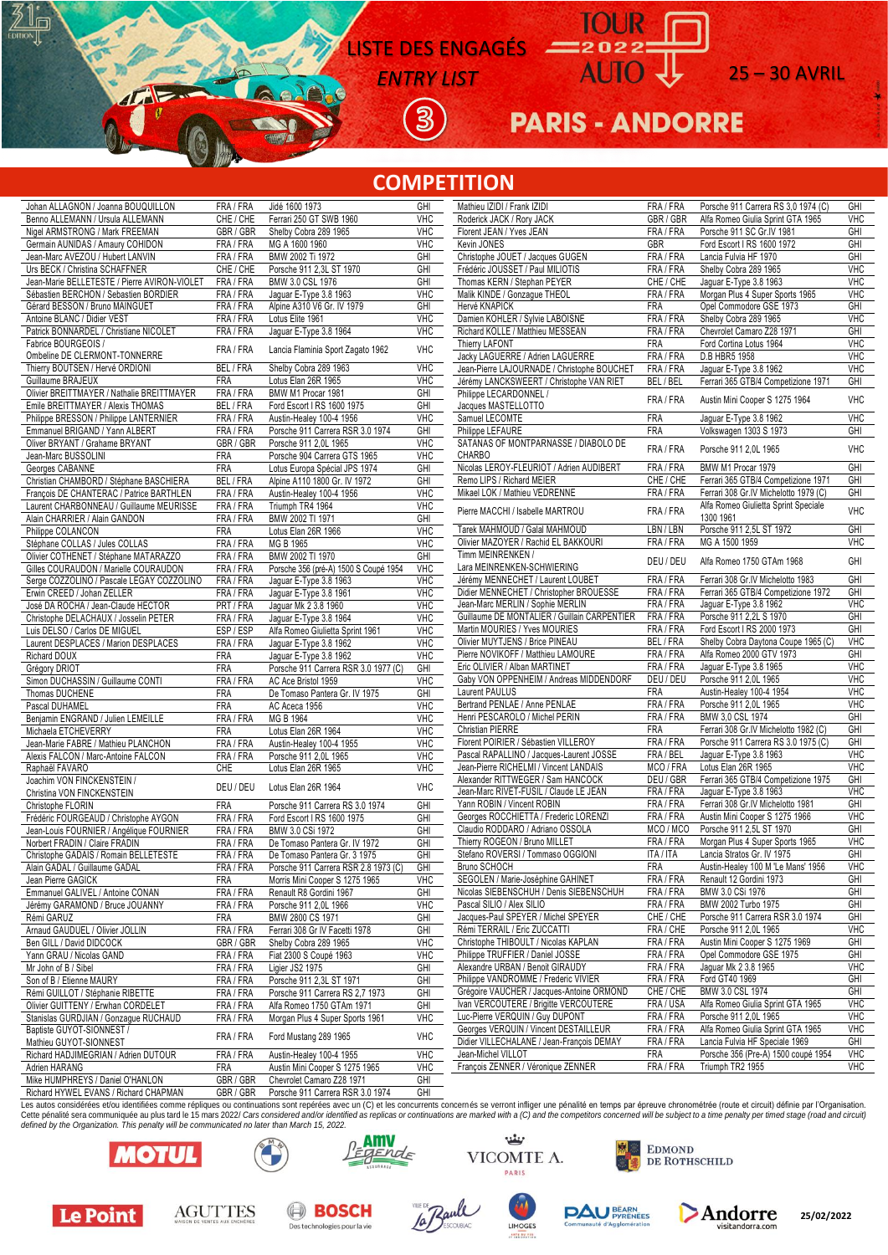### LISTE DES ENGAGÉS

**ENTRY LIST** AUTO 25 – 30 AVRIL

 $\overline{3}$ 

## **PARIS - ANDORRE**

 $22022$ 

**TOUR** 

#### **COMPETITION**

| Johan ALLAGNON / Joanna BOUQUILLON                                        | FRA / FRA            | Jidé 1600 1973                                               | GHI                   | Mathieu IZIDI / Frank IZIDI                  | FRA / FRA  | Porsche 911 Carrera RS 3,0 1974 (C)   | GHI        |
|---------------------------------------------------------------------------|----------------------|--------------------------------------------------------------|-----------------------|----------------------------------------------|------------|---------------------------------------|------------|
| Benno ALLEMANN / Ursula ALLEMANN                                          | CHE / CHE            | Ferrari 250 GT SWB 1960                                      | <b>VHC</b>            | Roderick JACK / Rory JACK                    | GBR / GBR  | Alfa Romeo Giulia Sprint GTA 1965     | <b>VHC</b> |
| Nigel ARMSTRONG / Mark FREEMAN                                            | GBR/GBR              | Shelby Cobra 289 1965                                        | <b>VHC</b>            | Florent JEAN / Yves JEAN                     | FRA / FRA  | Porsche 911 SC Gr.IV 1981             | GH         |
| Germain AUNIDAS / Amaury COHIDON                                          | FRA / FRA            | MG A 1600 1960                                               | <b>VHC</b>            | Kevin JONES                                  | <b>GBR</b> | Ford Escort I RS 1600 1972            | GHI        |
| Jean-Marc AVEZOU / Hubert LANVIN                                          | FRA / FRA            | BMW 2002 Ti 1972                                             | GHI                   | Christophe JOUET / Jacques GUGEN             | FRA / FRA  | Lancia Fulvia HF 1970                 | GHI        |
| Urs BECK / Christina SCHAFFNER                                            | CHE / CHE            | Porsche 911 2,3L ST 1970                                     | GHI                   | Frédéric JOUSSET / Paul MILIOTIS             | FRA / FRA  | Shelby Cobra 289 1965                 | <b>VHC</b> |
|                                                                           |                      |                                                              |                       |                                              |            |                                       |            |
| Jean-Marie BELLETESTE / Pierre AVIRON-VIOLET                              | FRA / FRA            | BMW 3.0 CSL 1976                                             | GHI                   | Thomas KERN / Stephan PEYER                  | CHE / CHE  | Jaquar E-Type 3.8 1963                | VHC        |
| Sébastien BERCHON / Sebastien BORDIER                                     | FRA / FRA            | Jaguar E-Type 3.8 1963                                       | <b>VHC</b>            | Malik KINDE / Gonzague THEOL                 | FRA / FRA  | Morgan Plus 4 Super Sports 1965       | <b>VHC</b> |
| Gérard BESSON / Bruno MAINGUET                                            | FRA / FRA            | Alpine A310 V6 Gr. IV 1979                                   | GHI                   | Hervé KNAPICK                                | <b>FRA</b> | Opel Commodore GSE 1973               | GHI        |
| Antoine BLANC / Didier VEST                                               | FRA / FRA            | Lotus Elite 1961                                             | <b>VHC</b>            | Damien KOHLER / Sylvie LABOISNE              | FRA / FRA  | Shelby Cobra 289 1965                 | <b>VHC</b> |
| Patrick BONNARDEL / Christiane NICOLET                                    | FRA / FRA            | Jaguar E-Type 3.8 1964                                       | VHC                   | Richard KOLLE / Matthieu MESSEAN             | FRA / FRA  | Chevrolet Camaro Z28 1971             | GH         |
| Fabrice BOURGEOIS /                                                       |                      |                                                              |                       | Thierry LAFONT                               | <b>FRA</b> | Ford Cortina Lotus 1964               | <b>VHC</b> |
| Ombeline DE CLERMONT-TONNERRE                                             | FRA / FRA            | Lancia Flaminia Sport Zagato 1962                            | VHC                   | Jacky LAGUERRE / Adrien LAGUERRE             | FRA / FRA  | D.B HBR5 1958                         | <b>VHC</b> |
|                                                                           |                      |                                                              | VHC                   |                                              |            |                                       |            |
| Thierry BOUTSEN / Hervé ORDIONI                                           | BEL / FRA            | Shelby Cobra 289 1963                                        |                       | Jean-Pierre LAJOURNADE / Christophe BOUCHET  | FRA / FRA  | Jaguar E-Type 3.8 1962                | VHC        |
| Guillaume BRAJEUX                                                         | <b>FRA</b>           | Lotus Elan 26R 1965                                          | <b>VHC</b>            | Jérémy LANCKSWEERT / Christophe VAN RIET     | BEL / BEL  | Ferrari 365 GTB/4 Competizione 1971   | GHI        |
| Olivier BREITTMAYER / Nathalie BREITTMAYER                                | FRA / FRA            | BMW M1 Procar 1981                                           | GHI                   | Philippe LECARDONNEL /                       | FRA / FRA  | Austin Mini Cooper S 1275 1964        | VHC        |
| Emile BREITTMAYER / Alexis THOMAS                                         | BEL / FRA            | Ford Escort I RS 1600 1975                                   | GHI                   | Jacques MASTELLOTTO                          |            |                                       |            |
| Philippe BRESSON / Philippe LANTERNIER                                    | FRA / FRA            | Austin-Healey 100-4 1956                                     | <b>VHC</b>            | Samuel LECOMTE                               | FRA        | Jaguar E-Type 3.8 1962                | VHC        |
| Emmanuel BRIGAND / Yann ALBERT                                            | FRA / FRA            | Porsche 911 Carrera RSR 3.0 1974                             | GHI                   | Philippe LEFAURE                             | <b>FRA</b> | Volkswagen 1303 S 1973                | GHI        |
| Oliver BRYANT / Grahame BRYANT                                            | GBR/GBR              | Porsche 911 2,0L 1965                                        | <b>VHC</b>            | SATANAS OF MONTPARNASSE / DIABOLO DE         |            |                                       |            |
|                                                                           |                      |                                                              |                       | <b>CHARBO</b>                                | FRA / FRA  | Porsche 911 2,0L 1965                 | <b>VHC</b> |
| Jean-Marc BUSSOLINI                                                       | FRA                  | Porsche 904 Carrera GTS 1965                                 | <b>VHC</b>            |                                              |            |                                       |            |
| Georges CABANNE                                                           | FRA                  | Lotus Europa Spécial JPS 1974                                | GHI                   | Nicolas LEROY-FLEURIOT / Adrien AUDIBERT     | FRA / FRA  | BMW M1 Procar 1979                    | GHI        |
| Christian CHAMBORD / Stéphane BASCHIERA                                   | BEL / FRA            | Alpine A110 1800 Gr. IV 1972                                 | GHI                   | Remo LIPS / Richard MEIER                    | CHE / CHE  | Ferrari 365 GTB/4 Competizione 1971   | GHI        |
| François DE CHANTERAC / Patrice BARTHLEN                                  | FRA / FRA            | Austin-Healey 100-4 1956                                     | <b>VHC</b>            | Mikael LOK / Mathieu VEDRENNE                | FRA / FRA  | Ferrari 308 Gr.IV Michelotto 1979 (C) | GHI        |
| Laurent CHARBONNEAU / Guillaume MEURISSE                                  | FRA / FRA            | Triumph TR4 1964                                             | VHC                   |                                              |            | Alfa Romeo Giulietta Sprint Speciale  |            |
| Alain CHARRIER / Alain GANDON                                             | FRA / FRA            | BMW 2002 TI 1971                                             | GHI                   | Pierre MACCHI / Isabelle MARTROU             | FRA / FRA  | 1300 1961                             | <b>VHC</b> |
| Philippe COLANCON                                                         | <b>FRA</b>           | Lotus Elan 26R 1966                                          | <b>VHC</b>            | Tarek MAHMOUD / Galal MAHMOUD                | LBN / LBN  | Porsche 911 2,5L ST 1972              | GHI        |
| Stéphane COLLAS / Jules COLLAS                                            |                      | MG B 1965                                                    | <b>VHC</b>            | Olivier MAZOYER / Rachid EL BAKKOURI         | FRA / FRA  | MG A 1500 1959                        | VHC        |
|                                                                           | FRA / FRA            |                                                              |                       |                                              |            |                                       |            |
| Olivier COTHENET / Stéphane MATARAZZO                                     | FRA / FRA            | BMW 2002 TI 1970                                             | GHI                   | Timm MEINRENKEN /                            | DEU / DEU  | Alfa Romeo 1750 GTAm 1968             | GHI        |
| Gilles COURAUDON / Marielle COURAUDON                                     | FRA / FRA            | Porsche 356 (pré-A) 1500 S Coupé 1954                        | <b>VHC</b>            | Lara MEINRENKEN-SCHWIERING                   |            |                                       |            |
| Serge COZZOLINO / Pascale LEGAY COZZOLINO                                 | FRA / FRA            | Jaguar E-Type 3.8 1963                                       | <b>VHC</b>            | Jérémy MENNECHET / Laurent LOUBET            | FRA / FRA  | Ferrari 308 Gr.IV Michelotto 1983     | GHI        |
| Erwin CREED / Johan ZELLER                                                | FRA / FRA            | Jaquar E-Type 3.8 1961                                       | <b>VHC</b>            | Didier MENNECHET / Christopher BROUESSE      | FRA / FRA  | Ferrari 365 GTB/4 Competizione 1972   | GHI        |
| José DA ROCHA / Jean-Claude HECTOR                                        | PRT/FRA              | Jaguar Mk 2 3.8 1960                                         | <b>VHC</b>            | Jean-Marc MERLIN / Sophie MERLIN             | FRA / FRA  | Jaguar E-Type 3.8 1962                | <b>VHC</b> |
| Christophe DELACHAUX / Josselin PETER                                     | FRA / FRA            | Jaguar E-Type 3.8 1964                                       | <b>VHC</b>            | Guillaume DE MONTALIER / Guillain CARPENTIER | FRA / FRA  | Porsche 911 2,2L S 1970               | GHI        |
| Luis DELSO / Carlos DE MIGUEL                                             | ESP/ESP              | Alfa Romeo Giulietta Sprint 1961                             | <b>VHC</b>            | Martin MOURIES / Yves MOURIES                | FRA / FRA  | Ford Escort I RS 2000 1973            | GHI        |
|                                                                           |                      |                                                              |                       | Olivier MUYTJENS / Brice PINEAU              | BEL/FRA    | Shelby Cobra Daytona Coupe 1965 (C)   | VHC        |
| Laurent DESPLACES / Marion DESPLACES                                      | FRA / FRA            | Jaguar E-Type 3.8 1962                                       | <b>VHC</b>            |                                              |            | Alfa Romeo 2000 GTV 1973              | GHI        |
|                                                                           |                      |                                                              |                       |                                              |            |                                       |            |
| Richard DOUX                                                              | FRA                  | Jaguar E-Type 3.8 1962                                       | <b>VHC</b>            | Pierre NOVIKOFF / Matthieu LAMOURE           | FRA / FRA  |                                       |            |
| Grégory DRIOT                                                             | FRA                  | Porsche 911 Carrera RSR 3.0 1977 (C)                         | GHI                   | Eric OLIVIER / Alban MARTINET                | FRA / FRA  | Jaguar E-Type 3.8 1965                | VHC        |
| Simon DUCHASSIN / Guillaume CONTI                                         | FRA / FRA            | AC Ace Bristol 1959                                          | <b>VHC</b>            | Gaby VON OPPENHEIM / Andreas MIDDENDORF      | DEU / DEU  | Porsche 911 2,0L 1965                 | <b>VHC</b> |
|                                                                           |                      |                                                              |                       | Laurent PAULUS                               | <b>FRA</b> | Austin-Healey 100-4 1954              | VHC        |
| Thomas DUCHENE                                                            | <b>FRA</b>           | De Tomaso Pantera Gr. IV 1975                                | GHI                   | Bertrand PENLAE / Anne PENLAE                | FRA/FRA    | Porsche 911 2,0L 1965                 | <b>VHC</b> |
| Pascal DUHAMEL                                                            | FRA                  | AC Aceca 1956                                                | <b>VHC</b>            |                                              |            |                                       |            |
| Benjamin ENGRAND / Julien LEMEILLE                                        | FRA / FRA            | MG B 1964                                                    | <b>VHC</b>            | Henri PESCAROLO / Michel PERIN               | FRA / FRA  | BMW 3.0 CSL 1974                      | GHI        |
| Michaela ETCHEVERRY                                                       | <b>FRA</b>           | Lotus Elan 26R 1964                                          | <b>VHC</b>            | Christian PIERRE                             | <b>FRA</b> | Ferrari 308 Gr.IV Michelotto 1982 (C) | GHI        |
| Jean-Marie FABRE / Mathieu PLANCHON                                       | FRA / FRA            | Austin-Healey 100-4 1955                                     | <b>VHC</b>            | Florent POIRIER / Sébastien VILLEROY         | FRA / FRA  | Porsche 911 Carrera RS 3.0 1975 (C)   | GHI        |
| Alexis FALCON / Marc-Antoine FALCON                                       | FRA / FRA            | Porsche 911 2,0L 1965                                        | <b>VHC</b>            | Pascal RAPALLINO / Jacques-Laurent JOSSE     | FRA / BEL  | Jaguar E-Type 3.8 1963                | VHC        |
| Raphaël FAVARO                                                            | CHE                  | Lotus Elan 26R 1965                                          | <b>VHC</b>            | Jean-Pierre RICHELMI / Vincent LANDAIS       | MCO / FRA  | Lotus Elan 26R 1965                   | VHC        |
| Joachim VON FINCKENSTEIN /                                                |                      |                                                              |                       | Alexander RITTWEGER / Sam HANCOCK            | DEU / GBR  | Ferrari 365 GTB/4 Competizione 1975   | GHI        |
|                                                                           | DEU / DEU            | Lotus Elan 26R 1964                                          | <b>VHC</b>            | Jean-Marc RIVET-FUSIL / Claude LE JEAN       | FRA / FRA  | Jaguar E-Type 3.8 1963                | <b>VHC</b> |
| Christina VON FINCKENSTEIN                                                |                      |                                                              |                       | Yann ROBIN / Vincent ROBIN                   | FRA / FRA  | Ferrari 308 Gr.IV Michelotto 1981     | GHI        |
| Christophe FLORIN                                                         | <b>FRA</b>           | Porsche 911 Carrera RS 3.0 1974                              | GHI                   |                                              | FRA / FRA  |                                       |            |
| Frédéric FOURGEAUD / Christophe AYGON                                     | FRA / FRA            | Ford Escort I RS 1600 1975                                   | GHI                   | Georges ROCCHIETTA / Frederic LORENZI        |            | Austin Mini Cooper S 1275 1966        | <b>VHC</b> |
| Jean-Louis FOURNIER / Angélique FOURNIER                                  | FRA / FRA            | BMW 3.0 CSi 1972                                             | GHI                   | Claudio RODDARO / Adriano OSSOLA             | MCO / MCO  | Porsche 911 2,5L ST 1970              | GHI        |
| Norbert FRADIN / Claire FRADIN                                            | FRA / FRA            | De Tomaso Pantera Gr. IV 1972                                | GHI                   | Thierry ROGEON / Bruno MILLET                | FRA / FRA  | Morgan Plus 4 Super Sports 1965       | VHC        |
| Christophe GADAIS / Romain BELLETESTE                                     | FRA / FRA            | De Tomaso Pantera Gr. 3 1975                                 | GHI                   | Stefano ROVERSI / Tommaso OGGIONI            | ITA / ITA  | Lancia Stratos Gr. IV 1975            | GHI        |
| Alain GADAL / Guillaume GADAL                                             | FRA / FRA            | Porsche 911 Carrera RSR 2.8 1973 (C)                         | GHI                   | Bruno SCHOCH                                 | FRA        | Austin-Healey 100 M 'Le Mans' 1956    | <b>VHC</b> |
| Jean Pierre GAGICK                                                        | <b>FRA</b>           | Morris Mini Cooper S 1275 1965                               | <b>VHC</b>            | SEGOLEN / Marie-Joséphine GAHINET            | FRA / FRA  | Renault 12 Gordini 1973               | GHI        |
| Emmanuel GALIVEL / Antoine CONAN                                          | FRA / FRA            | Renault R8 Gordini 1967                                      | GHI                   | Nicolas SIEBENSCHUH / Denis SIEBENSCHUH      | FRA / FRA  | BMW 3.0 CSi 1976                      | GHI        |
|                                                                           |                      |                                                              |                       |                                              |            |                                       |            |
| Jérémy GARAMOND / Bruce JOUANNY                                           | FRA / FRA            | Porsche 911 2,0L 1966                                        | <b>VHC</b>            | Pascal SILIO / Alex SILIO                    | FRA / FRA  | BMW 2002 Turbo 1975                   | GHI        |
| Rémi GARUZ                                                                | <b>FRA</b>           | BMW 2800 CS 1971                                             | GHI                   | Jacques-Paul SPEYER / Michel SPEYER          | CHE / CHE  | Porsche 911 Carrera RSR 3.0 1974      | GHI        |
| Arnaud GAUDUEL / Olivier JOLLIN                                           | FRA / FRA            | Ferrari 308 Gr IV Facetti 1978                               | GHI                   | Rémi TERRAIL / Eric ZUCCATTI                 | FRA / CHE  | Porsche 911 2,0L 1965                 | <b>VHC</b> |
| Ben GILL / David DIDCOCK                                                  | GBR / GBR            | Shelby Cobra 289 1965                                        | <b>VHC</b>            | Christophe THIBOULT / Nicolas KAPLAN         | FRA / FRA  | Austin Mini Cooper S 1275 1969        | GHI        |
| Yann GRAU / Nicolas GAND                                                  | FRA / FRA            | Fiat 2300 S Coupé 1963                                       | <b>VHC</b>            | Philippe TRUFFIER / Daniel JOSSE             | FRA / FRA  | Opel Commodore GSE 1975               | GHI        |
| Mr John of B / Sibel                                                      | FRA / FRA            | Ligier JS2 1975                                              | GHI                   | Alexandre URBAN / Benoit GIRAUDY             | FRA / FRA  | Jaguar Mk 2 3.8 1965                  | <b>VHC</b> |
| Son of B / Etienne MAURY                                                  | FRA / FRA            | Porsche 911 2,3L ST 1971                                     | GHI                   | Philippe VANDROMME / Frederic VIVIER         | FRA / FRA  | Ford GT40 1969                        | GHI        |
|                                                                           | FRA / FRA            |                                                              |                       | Grégoire VAUCHER / Jacques-Antoine ORMOND    | CHE / CHE  | BMW 3.0 CSL 1974                      | GHI        |
| Rémi GUILLOT / Stéphanie RIBETTE                                          |                      | Porsche 911 Carrera RS 2,7 1973                              | GHI                   |                                              |            |                                       |            |
| Olivier GUITTENY / Erwhan CORDELET                                        | FRA / FRA            | Alfa Romeo 1750 GTAm 1971                                    | GHI                   | Ivan VERCOUTERE / Brigitte VERCOUTERE        | FRA / USA  | Alfa Romeo Giulia Sprint GTA 1965     | <b>VHC</b> |
| Stanislas GURDJIAN / Gonzague RUCHAUD                                     | FRA / FRA            | Morgan Plus 4 Super Sports 1961                              | <b>VHC</b>            | Luc-Pierre VERQUIN / Guy DUPONT              | FRA / FRA  | Porsche 911 2.0L 1965                 | <b>VHC</b> |
| Baptiste GUYOT-SIONNEST /                                                 | FRA / FRA            | Ford Mustang 289 1965                                        | <b>VHC</b>            | Georges VERQUIN / Vincent DESTAILLEUR        | FRA / FRA  | Alfa Romeo Giulia Sprint GTA 1965     | <b>VHC</b> |
| Mathieu GUYOT-SIONNEST                                                    |                      |                                                              |                       | Didier VILLECHALANE / Jean-François DEMAY    | FRA / FRA  | Lancia Fulvia HF Speciale 1969        | GHI        |
| Richard HADJIMEGRIAN / Adrien DUTOUR                                      | FRA / FRA            | Austin-Healev 100-4 1955                                     | <b>VHC</b>            | Jean-Michel VILLOT                           | <b>FRA</b> | Porsche 356 (Pre-A) 1500 coupé 1954   | <b>VHC</b> |
| Adrien HARANG                                                             | <b>FRA</b>           | Austin Mini Cooper S 1275 1965                               | <b>VHC</b>            | François ZENNER / Véronique ZENNER           | FRA / FRA  | Triumph TR2 1955                      | <b>VHC</b> |
| Mike HUMPHREYS / Daniel O'HANLON<br>Dishord UVMEL EVANO (Dishord OUADMAN) | GBR / GBR<br>CDD/CDD | Chevrolet Camaro Z28 1971<br>Demaha 044 Cerrain DCD 3.0.4074 | GHI<br>$\overline{C}$ |                                              |            |                                       |            |

Les autos considérées et/ou identifiées comme répliques ou continuations sont repérées avec un (C) et les concurrents concernés se verront infliger une pénalité en temps par épreuve chronométrée (route et circuit) définie par l'Organisation. Richard HYWEL EVANS / Richard CHAPMAN GBR / GBR Porsche 911 Carrera RSR 3.0 1974 GHI Cette pénalité sera communiquée au plus tard le 15 mars 2022/ Cars considered and/or identified as replicas or continuations are marked with a (C) and the competitors concerned will be subject to a time penalty per timed s *defined by the Organization. This penalty will be communicated no later than March 15, 2022.*



**AMV** gende



بنتنه

VICOMTE A.

LIMOGES





Andorre

**25/02/2022**



 $\frac{\text{Z}}{\text{E}}$ 

 $\overline{A}$ 

**AGUTTES BOSCH** Des technologies pour la vie